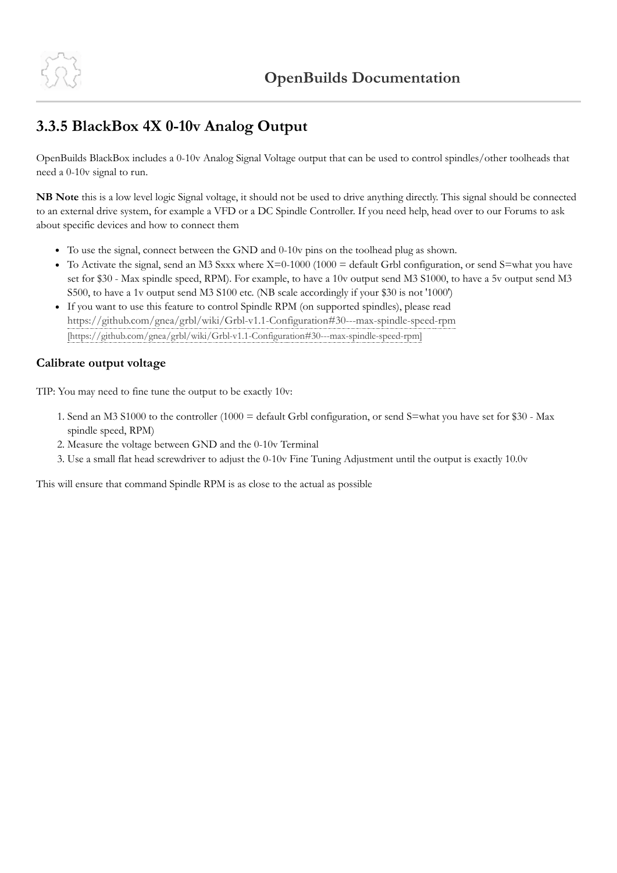

## **3.3.5 BlackBox 4X 0-10v Analog Output**

OpenBuilds BlackBox includes a 0-10v Analog Signal Voltage output that can be used to control spindles/other toolheads that need a 0-10v signal to run.

**NB Note** this is a low level logic Signal voltage, it should not be used to drive anything directly. This signal should be connected to an external drive system, for example a VFD or a DC Spindle Controller. If you need help, head over to our Forums to ask about specific devices and how to connect them

- To use the signal, connect between the GND and 0-10v pins on the toolhead plug as shown.
- To Activate the signal, send an M3 Sxxx where  $X=0-1000$  (1000 = default Grbl configuration, or send S=what you have set for \$30 - Max spindle speed, RPM). For example, to have a 10v output send M3 S1000, to have a 5v output send M3 S500, to have a 1v output send M3 S100 etc. (NB scale accordingly if your \$30 is not '1000')
- If you want to use this feature to control Spindle RPM (on supported spindles), please read <https://github.com/gnea/grbl/wiki/Grbl-v1.1-Configuration#30---max-spindle-speed-rpm> [https://github.com/gnea/grbl/wiki/Grbl-v1.1-Configuration#30---max-spindle-speed-rpm]

## **Calibrate output voltage**

TIP: You may need to fine tune the output to be exactly 10v:

- 1. Send an M3 S1000 to the controller (1000 = default Grbl configuration, or send S=what you have set for \$30 Max spindle speed, RPM)
- 2. Measure the voltage between GND and the 0-10v Terminal
- 3. Use a small flat head screwdriver to adjust the 0-10v Fine Tuning Adjustment until the output is exactly 10.0v

This will ensure that command Spindle RPM is as close to the actual as possible